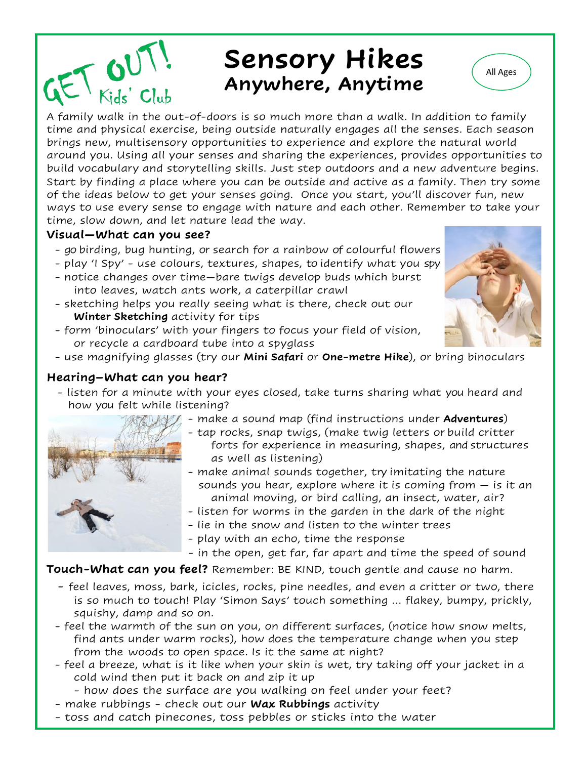# Sensory Hikes **All Ages Anywhere, Anytime**

A family walk in the out-of-doors is so much more than a walk. In addition to family time and physical exercise, being outside naturally engages all the senses. Each season brings new, multisensory opportunities to experience and explore the natural world around you. Using all your senses and sharing the experiences, provides opportunities to build vocabulary and storytelling skills. Just step outdoors and a new adventure begins. Start by finding a place where you can be outside and active as a family. Then try some of the ideas below to get your senses going. Once you start, you'll discover fun, new ways to use every sense to engage with nature and each other. Remember to take your time, slow down, and let nature lead the way.

### **Visual—What can you see?**

 $E<sub>Kids' Club</sub>$ 

- go birding, bug hunting, or search for a rainbow of colourful flowers
- play 'I Spy' use colours, textures, shapes, to identify what you spy
- notice changes over time—bare twigs develop buds which burst into leaves, watch ants work, a caterpillar crawl
- sketching helps you really seeing what is there, check out our **Winter Sketching** activity for tips
- form 'binoculars' with your fingers to focus your field of vision, or recycle a cardboard tube into a spyglass
- use magnifying glasses (try our **Mini Safari** or **One-metre Hike**), or bring binoculars

### **Hearing–What can you hear?**

- listen for a minute with your eyes closed, take turns sharing what you heard and how you felt while listening?





- tap rocks, snap twigs, (make twig letters or build critter forts for experience in measuring, shapes, and structures as well as listening)
- make animal sounds together, try imitating the nature sounds you hear, explore where it is coming from  $-$  is it an animal moving, or bird calling, an insect, water, air?
- listen for worms in the garden in the dark of the night
- lie in the snow and listen to the winter trees
- play with an echo, time the response
- in the open, get far, far apart and time the speed of sound

#### **Touch-What can you feel?** Remember: BE KIND, touch gentle and cause no harm.

- feel leaves, moss, bark, icicles, rocks, pine needles, and even a critter or two, there is so much to touch! Play 'Simon Says' touch something … flakey, bumpy, prickly, squishy, damp and so on.
- feel the warmth of the sun on you, on different surfaces, (notice how snow melts, find ants under warm rocks), how does the temperature change when you step from the woods to open space. Is it the same at night?
- feel a breeze, what is it like when your skin is wet, try taking off your jacket in a cold wind then put it back on and zip it up

- how does the surface are you walking on feel under your feet?

- make rubbings check out our **Wax Rubbings** activity
- toss and catch pinecones, toss pebbles or sticks into the water